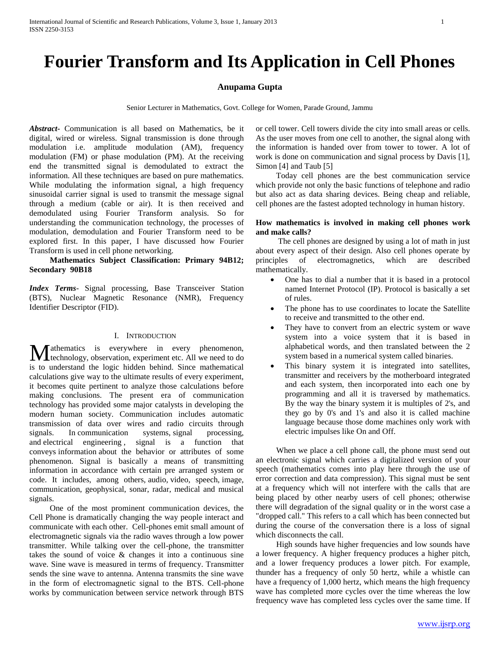# **Fourier Transform and Its Application in Cell Phones**

## **Anupama Gupta**

Senior Lecturer in Mathematics, Govt. College for Women, Parade Ground, Jammu

*Abstract***-** Communication is all based on Mathematics, be it digital, wired or wireless. Signal transmission is done through modulation i.e. amplitude modulation (AM), frequency modulation (FM) or phase modulation (PM). At the receiving end the transmitted signal is demodulated to extract the information. All these techniques are based on pure mathematics. While modulating the information signal, a high frequency sinusoidal carrier signal is used to transmit the message signal through a medium (cable or air). It is then received and demodulated using Fourier Transform analysis. So for understanding the communication technology, the processes of modulation, demodulation and Fourier Transform need to be explored first. In this paper, I have discussed how Fourier Transform is used in cell phone networking.

 **Mathematics Subject Classification: Primary 94B12; Secondary 90B18**

*Index Terms*- Signal processing, Base Transceiver Station (BTS), Nuclear Magnetic Resonance (NMR), Frequency Identifier Descriptor (FID).

#### I. INTRODUCTION

athematics is everywhere in every phenomenon, **M** athematics is everywhere in every phenomenon, technology, observation, experiment etc. All we need to do is to understand the logic hidden behind. Since mathematical calculations give way to the ultimate results of every experiment, it becomes quite pertinent to analyze those calculations before making conclusions. The present era of communication technology has provided some major catalysts in developing the modern human society. Communication includes automatic transmission of data over wires and radio circuits through signals. In communication systems, signal processing, and electrical engineering , signal is a function that conveys information about the behavior or attributes of some phenomenon. Signal is basically a means of transmitting information in accordance with certain pre arranged system or code. It includes, among others, audio, video, speech, image, communication, geophysical, sonar, radar, medical and musical signals.

 One of the most prominent communication devices, the Cell Phone is dramatically changing the way people interact and communicate with each other. Cell-phones emit small amount of electromagnetic signals via the radio waves through a low power transmitter. While talking over the cell-phone, the transmitter takes the sound of voice & changes it into a continuous sine wave. Sine wave is measured in terms of frequency. Transmitter sends the sine wave to antenna. Antenna transmits the sine wave in the form of electromagnetic signal to the BTS. Cell-phone works by communication between service network through BTS

or cell tower. Cell towers divide the city into small areas or cells. As the user moves from one cell to another, the signal along with the information is handed over from tower to tower. A lot of work is done on communication and signal process by Davis [1], Simon [4] and Taub [5]

 Today cell phones are the best communication service which provide not only the basic functions of telephone and radio but also act as data sharing devices. Being cheap and reliable, cell phones are the fastest adopted technology in human history.

## **How mathematics is involved in making cell phones work and make calls?**

 The cell phones are designed by using a lot of math in just about every aspect of their design. Also cell phones operate by principles of electromagnetics, which are described mathematically.

- One has to dial a number that it is based in a protocol named Internet Protocol (IP). Protocol is basically a set of rules.
- The phone has to use coordinates to locate the Satellite to receive and transmitted to the other end.
- They have to convert from an electric system or wave system into a voice system that it is based in alphabetical words, and then translated between the 2 system based in a numerical system called binaries.
- This binary system it is integrated into satellites, transmitter and receivers by the motherboard integrated and each system, then incorporated into each one by programming and all it is traversed by mathematics. By the way the binary system it is multiples of 2's, and they go by 0's and 1's and also it is called machine language because those dome machines only work with electric impulses like On and Off.

 When we place a cell phone call, the phone must send out an electronic signal which carries a digitalized version of your speech (mathematics comes into play here through the use of error correction and data compression). This signal must be sent at a frequency which will not interfere with the calls that are being placed by other nearby users of cell phones; otherwise there will degradation of the signal quality or in the worst case a "dropped call." This refers to a call which has been connected but during the course of the conversation there is a loss of signal which disconnects the call.

 High sounds have higher frequencies and low sounds have a lower frequency. A higher frequency produces a higher pitch, and a lower frequency produces a lower pitch. For example, thunder has a frequency of only 50 hertz, while a whistle can have a frequency of 1,000 hertz, which means the high frequency wave has completed more cycles over the time whereas the low frequency wave has completed less cycles over the same time. If